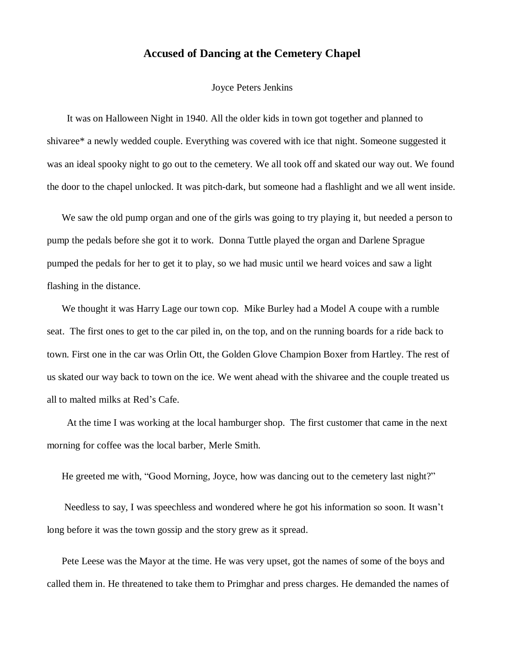## **Accused of Dancing at the Cemetery Chapel**

## Joyce Peters Jenkins

 It was on Halloween Night in 1940. All the older kids in town got together and planned to shivaree\* a newly wedded couple. Everything was covered with ice that night. Someone suggested it was an ideal spooky night to go out to the cemetery. We all took off and skated our way out. We found the door to the chapel unlocked. It was pitch-dark, but someone had a flashlight and we all went inside.

We saw the old pump organ and one of the girls was going to try playing it, but needed a person to pump the pedals before she got it to work. Donna Tuttle played the organ and Darlene Sprague pumped the pedals for her to get it to play, so we had music until we heard voices and saw a light flashing in the distance.

We thought it was Harry Lage our town cop. Mike Burley had a Model A coupe with a rumble seat. The first ones to get to the car piled in, on the top, and on the running boards for a ride back to town. First one in the car was Orlin Ott, the Golden Glove Champion Boxer from Hartley. The rest of us skated our way back to town on the ice. We went ahead with the shivaree and the couple treated us all to malted milks at Red's Cafe.

 At the time I was working at the local hamburger shop. The first customer that came in the next morning for coffee was the local barber, Merle Smith.

He greeted me with, "Good Morning, Joyce, how was dancing out to the cemetery last night?"

Needless to say, I was speechless and wondered where he got his information so soon. It wasn't long before it was the town gossip and the story grew as it spread.

Pete Leese was the Mayor at the time. He was very upset, got the names of some of the boys and called them in. He threatened to take them to Primghar and press charges. He demanded the names of